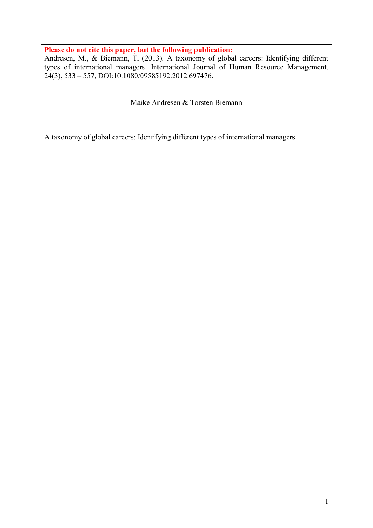**Please do not cite this paper, but the following publication:** 

Andresen, M., & Biemann, T. (2013). A taxonomy of global careers: Identifying different types of international managers. International Journal of Human Resource Management,  $24(3)$ , 533 – 557, DOI:10.1080/09585192.2012.697476.

Maike Andresen & Torsten Biemann

A taxonomy of global careers: Identifying different types of international managers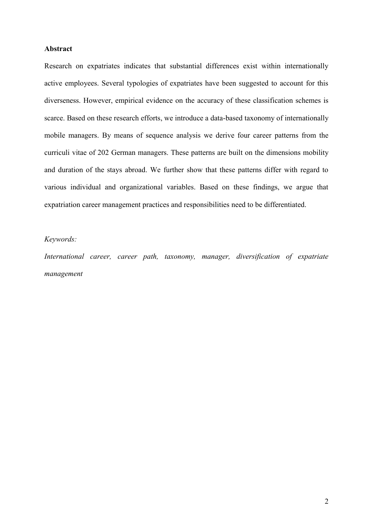## **Abstract**

Research on expatriates indicates that substantial differences exist within internationally active employees. Several typologies of expatriates have been suggested to account for this diverseness. However, empirical evidence on the accuracy of these classification schemes is scarce. Based on these research efforts, we introduce a data-based taxonomy of internationally mobile managers. By means of sequence analysis we derive four career patterns from the curriculi vitae of 202 German managers. These patterns are built on the dimensions mobility and duration of the stays abroad. We further show that these patterns differ with regard to various individual and organizational variables. Based on these findings, we argue that expatriation career management practices and responsibilities need to be differentiated.

## *Keywords:*

*International career, career path, taxonomy, manager, diversification of expatriate management*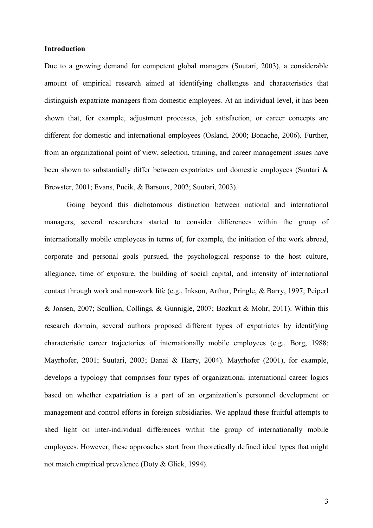## **Introduction**

Due to a growing demand for competent global managers (Suutari, 2003), a considerable amount of empirical research aimed at identifying challenges and characteristics that distinguish expatriate managers from domestic employees. At an individual level, it has been shown that, for example, adjustment processes, job satisfaction, or career concepts are different for domestic and international employees (Osland, 2000; Bonache, 2006). Further, from an organizational point of view, selection, training, and career management issues have been shown to substantially differ between expatriates and domestic employees (Suutari & Brewster, 2001; Evans, Pucik, & Barsoux, 2002; Suutari, 2003).

Going beyond this dichotomous distinction between national and international managers, several researchers started to consider differences within the group of internationally mobile employees in terms of, for example, the initiation of the work abroad, corporate and personal goals pursued, the psychological response to the host culture, allegiance, time of exposure, the building of social capital, and intensity of international contact through work and non-work life (e.g., Inkson, Arthur, Pringle, & Barry, 1997; Peiperl & Jonsen, 2007; Scullion, Collings, & Gunnigle, 2007; Bozkurt & Mohr, 2011). Within this research domain, several authors proposed different types of expatriates by identifying characteristic career trajectories of internationally mobile employees (e.g., Borg, 1988; Mayrhofer, 2001; Suutari, 2003; Banai & Harry, 2004). Mayrhofer (2001), for example, develops a typology that comprises four types of organizational international career logics based on whether expatriation is a part of an organization's personnel development or management and control efforts in foreign subsidiaries. We applaud these fruitful attempts to shed light on inter-individual differences within the group of internationally mobile employees. However, these approaches start from theoretically defined ideal types that might not match empirical prevalence (Doty & Glick, 1994).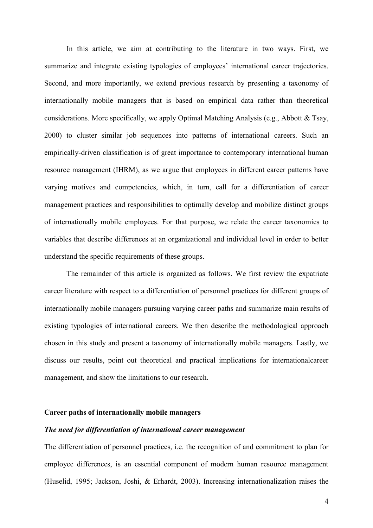In this article, we aim at contributing to the literature in two ways. First, we summarize and integrate existing typologies of employees' international career trajectories. Second, and more importantly, we extend previous research by presenting a taxonomy of internationally mobile managers that is based on empirical data rather than theoretical considerations. More specifically, we apply Optimal Matching Analysis (e.g., Abbott & Tsay, 2000) to cluster similar job sequences into patterns of international careers. Such an empirically-driven classification is of great importance to contemporary international human resource management (IHRM), as we argue that employees in different career patterns have varying motives and competencies, which, in turn, call for a differentiation of career management practices and responsibilities to optimally develop and mobilize distinct groups of internationally mobile employees. For that purpose, we relate the career taxonomies to variables that describe differences at an organizational and individual level in order to better understand the specific requirements of these groups.

The remainder of this article is organized as follows. We first review the expatriate career literature with respect to a differentiation of personnel practices for different groups of internationally mobile managers pursuing varying career paths and summarize main results of existing typologies of international careers. We then describe the methodological approach chosen in this study and present a taxonomy of internationally mobile managers. Lastly, we discuss our results, point out theoretical and practical implications for internationalcareer management, and show the limitations to our research.

## **Career paths of internationally mobile managers**

## *The need for differentiation of international career management*

The differentiation of personnel practices, i.e. the recognition of and commitment to plan for employee differences, is an essential component of modern human resource management (Huselid, 1995; Jackson, Joshi, & Erhardt, 2003). Increasing internationalization raises the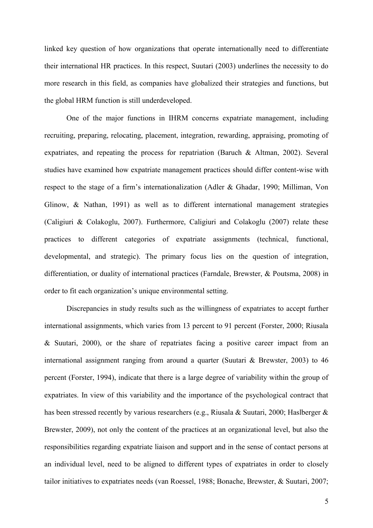linked key question of how organizations that operate internationally need to differentiate their international HR practices. In this respect, Suutari (2003) underlines the necessity to do more research in this field, as companies have globalized their strategies and functions, but the global HRM function is still underdeveloped.

One of the major functions in IHRM concerns expatriate management, including recruiting, preparing, relocating, placement, integration, rewarding, appraising, promoting of expatriates, and repeating the process for repatriation (Baruch & Altman, 2002). Several studies have examined how expatriate management practices should differ content-wise with respect to the stage of a firm's internationalization (Adler & Ghadar, 1990; Milliman, Von Glinow, & Nathan, 1991) as well as to different international management strategies (Caligiuri & Colakoglu, 2007). Furthermore, Caligiuri and Colakoglu (2007) relate these practices to different categories of expatriate assignments (technical, functional, developmental, and strategic). The primary focus lies on the question of integration, differentiation, or duality of international practices (Farndale, Brewster, & Poutsma, 2008) in order to fit each organization's unique environmental setting.

Discrepancies in study results such as the willingness of expatriates to accept further international assignments, which varies from 13 percent to 91 percent (Forster, 2000; Riusala & Suutari, 2000), or the share of repatriates facing a positive career impact from an international assignment ranging from around a quarter (Suutari & Brewster, 2003) to 46 percent (Forster, 1994), indicate that there is a large degree of variability within the group of expatriates. In view of this variability and the importance of the psychological contract that has been stressed recently by various researchers (e.g., Riusala & Suutari, 2000; Haslberger & Brewster, 2009), not only the content of the practices at an organizational level, but also the responsibilities regarding expatriate liaison and support and in the sense of contact persons at an individual level, need to be aligned to different types of expatriates in order to closely tailor initiatives to expatriates needs (van Roessel, 1988; Bonache, Brewster, & Suutari, 2007;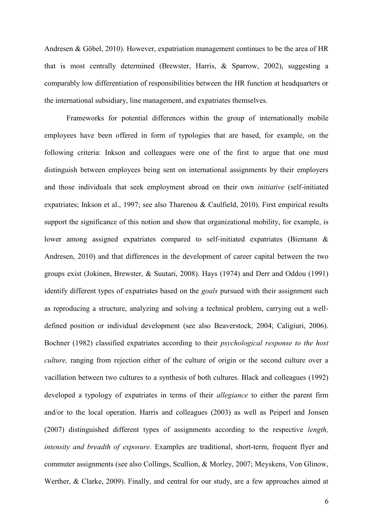Andresen & Göbel, 2010). However, expatriation management continues to be the area of HR that is most centrally determined (Brewster, Harris, & Sparrow, 2002), suggesting a comparably low differentiation of responsibilities between the HR function at headquarters or the international subsidiary, line management, and expatriates themselves.

Frameworks for potential differences within the group of internationally mobile employees have been offered in form of typologies that are based, for example, on the following criteria: Inkson and colleagues were one of the first to argue that one must distinguish between employees being sent on international assignments by their employers and those individuals that seek employment abroad on their own *initiative* (self-initiated expatriates; Inkson et al., 1997; see also Tharenou & Caulfield, 2010). First empirical results support the significance of this notion and show that organizational mobility, for example, is lower among assigned expatriates compared to self-initiated expatriates (Biemann & Andresen, 2010) and that differences in the development of career capital between the two groups exist (Jokinen, Brewster, & Suutari, 2008). Hays (1974) and Derr and Oddou (1991) identify different types of expatriates based on the *goals* pursued with their assignment such as reproducing a structure, analyzing and solving a technical problem, carrying out a welldefined position or individual development (see also Beaverstock, 2004; Caligiuri, 2006). Bochner (1982) classified expatriates according to their *psychological response to the host culture,* ranging from rejection either of the culture of origin or the second culture over a vacillation between two cultures to a synthesis of both cultures. Black and colleagues (1992) developed a typology of expatriates in terms of their *allegiance* to either the parent firm and/or to the local operation. Harris and colleagues (2003) as well as Peiperl and Jonsen (2007) distinguished different types of assignments according to the respective *length, intensity and breadth of exposure*. Examples are traditional, short-term, frequent flyer and commuter assignments (see also Collings, Scullion, & Morley, 2007; Meyskens, Von Glinow, Werther, & Clarke, 2009). Finally, and central for our study, are a few approaches aimed at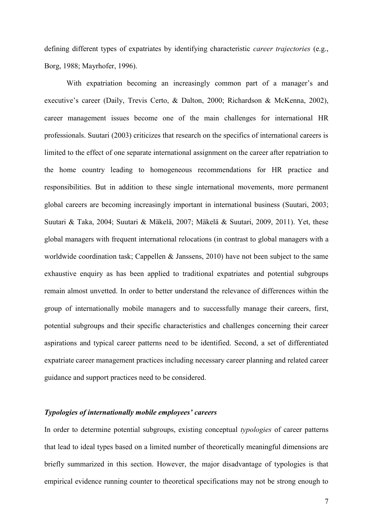defining different types of expatriates by identifying characteristic *career trajectories* (e.g., Borg, 1988; Mayrhofer, 1996).

With expatriation becoming an increasingly common part of a manager's and executive's career (Daily, Trevis Certo, & Dalton, 2000; Richardson & McKenna, 2002), career management issues become one of the main challenges for international HR professionals. Suutari (2003) criticizes that research on the specifics of international careers is limited to the effect of one separate international assignment on the career after repatriation to the home country leading to homogeneous recommendations for HR practice and responsibilities. But in addition to these single international movements, more permanent global careers are becoming increasingly important in international business (Suutari, 2003; Suutari & Taka, 2004; Suutari & Mäkelä, 2007; Mäkelä & Suutari, 2009, 2011). Yet, these global managers with frequent international relocations (in contrast to global managers with a worldwide coordination task; Cappellen & Janssens, 2010) have not been subject to the same exhaustive enquiry as has been applied to traditional expatriates and potential subgroups remain almost unvetted. In order to better understand the relevance of differences within the group of internationally mobile managers and to successfully manage their careers, first, potential subgroups and their specific characteristics and challenges concerning their career aspirations and typical career patterns need to be identified. Second, a set of differentiated expatriate career management practices including necessary career planning and related career guidance and support practices need to be considered.

## *Typologies of internationally mobile employees' careers*

In order to determine potential subgroups, existing conceptual *typologies* of career patterns that lead to ideal types based on a limited number of theoretically meaningful dimensions are briefly summarized in this section. However, the major disadvantage of typologies is that empirical evidence running counter to theoretical specifications may not be strong enough to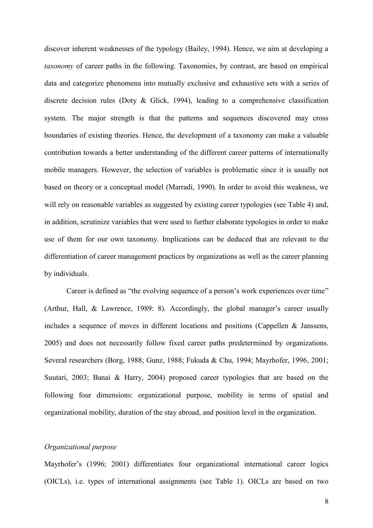discover inherent weaknesses of the typology (Bailey, 1994). Hence, we aim at developing a *taxonomy* of career paths in the following. Taxonomies, by contrast, are based on empirical data and categorize phenomena into mutually exclusive and exhaustive sets with a series of discrete decision rules (Doty  $\&$  Glick, 1994), leading to a comprehensive classification system. The major strength is that the patterns and sequences discovered may cross boundaries of existing theories. Hence, the development of a taxonomy can make a valuable contribution towards a better understanding of the different career patterns of internationally mobile managers. However, the selection of variables is problematic since it is usually not based on theory or a conceptual model (Marradi, 1990). In order to avoid this weakness, we will rely on reasonable variables as suggested by existing career typologies (see Table 4) and, in addition, scrutinize variables that were used to further elaborate typologies in order to make use of them for our own taxonomy. Implications can be deduced that are relevant to the differentiation of career management practices by organizations as well as the career planning by individuals.

Career is defined as "the evolving sequence of a person's work experiences over time" (Arthur, Hall, & Lawrence, 1989: 8). Accordingly, the global manager's career usually includes a sequence of moves in different locations and positions (Cappellen & Janssens, 2005) and does not necessarily follow fixed career paths predetermined by organizations. Several researchers (Borg, 1988; Gunz, 1988; Fukuda & Chu, 1994; Mayrhofer, 1996, 2001; Suutari, 2003; Banai & Harry, 2004) proposed career typologies that are based on the following four dimensions: organizational purpose, mobility in terms of spatial and organizational mobility, duration of the stay abroad, and position level in the organization.

## *Organizational purpose*

Mayrhofer's (1996; 2001) differentiates four organizational international career logics (OICLs), i.e. types of international assignments (see Table 1). OICLs are based on two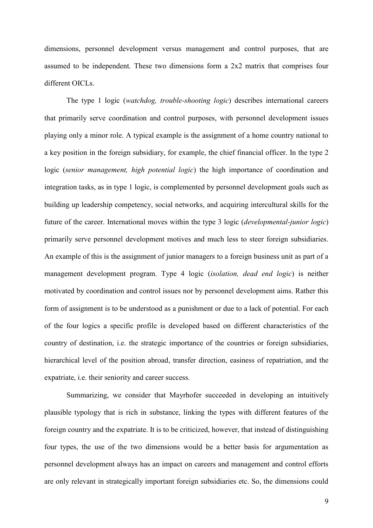dimensions, personnel development versus management and control purposes, that are assumed to be independent. These two dimensions form a 2x2 matrix that comprises four different OICL<sub>S</sub>

The type 1 logic (*watchdog, trouble-shooting logic*) describes international careers that primarily serve coordination and control purposes, with personnel development issues playing only a minor role. A typical example is the assignment of a home country national to a key position in the foreign subsidiary, for example, the chief financial officer. In the type 2 logic (*senior management, high potential logic*) the high importance of coordination and integration tasks, as in type 1 logic, is complemented by personnel development goals such as building up leadership competency, social networks, and acquiring intercultural skills for the future of the career. International moves within the type 3 logic (*developmental-junior logic*) primarily serve personnel development motives and much less to steer foreign subsidiaries. An example of this is the assignment of junior managers to a foreign business unit as part of a management development program. Type 4 logic (*isolation, dead end logic*) is neither motivated by coordination and control issues nor by personnel development aims. Rather this form of assignment is to be understood as a punishment or due to a lack of potential. For each of the four logics a specific profile is developed based on different characteristics of the country of destination, i.e. the strategic importance of the countries or foreign subsidiaries, hierarchical level of the position abroad, transfer direction, easiness of repatriation, and the expatriate, i.e. their seniority and career success.

Summarizing, we consider that Mayrhofer succeeded in developing an intuitively plausible typology that is rich in substance, linking the types with different features of the foreign country and the expatriate. It is to be criticized, however, that instead of distinguishing four types, the use of the two dimensions would be a better basis for argumentation as personnel development always has an impact on careers and management and control efforts are only relevant in strategically important foreign subsidiaries etc. So, the dimensions could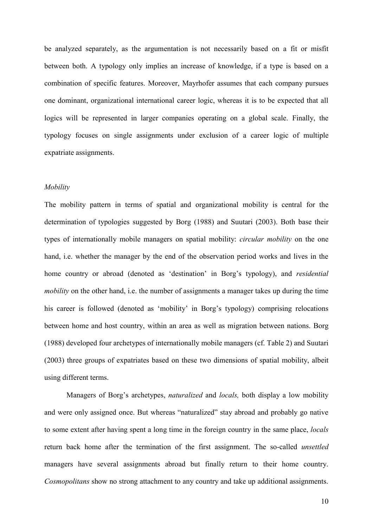be analyzed separately, as the argumentation is not necessarily based on a fit or misfit between both. A typology only implies an increase of knowledge, if a type is based on a combination of specific features. Moreover, Mayrhofer assumes that each company pursues one dominant, organizational international career logic, whereas it is to be expected that all logics will be represented in larger companies operating on a global scale. Finally, the typology focuses on single assignments under exclusion of a career logic of multiple expatriate assignments.

## *Mobility*

The mobility pattern in terms of spatial and organizational mobility is central for the determination of typologies suggested by Borg (1988) and Suutari (2003). Both base their types of internationally mobile managers on spatial mobility: *circular mobility* on the one hand, i.e. whether the manager by the end of the observation period works and lives in the home country or abroad (denoted as 'destination' in Borg's typology), and *residential mobility* on the other hand, i.e. the number of assignments a manager takes up during the time his career is followed (denoted as 'mobility' in Borg's typology) comprising relocations between home and host country, within an area as well as migration between nations. Borg (1988) developed four archetypes of internationally mobile managers (cf. Table 2) and Suutari (2003) three groups of expatriates based on these two dimensions of spatial mobility, albeit using different terms.

Managers of Borg's archetypes, *naturalized* and *locals,* both display a low mobility and were only assigned once. But whereas "naturalized" stay abroad and probably go native to some extent after having spent a long time in the foreign country in the same place, *locals* return back home after the termination of the first assignment. The so-called *unsettled* managers have several assignments abroad but finally return to their home country. *Cosmopolitans* show no strong attachment to any country and take up additional assignments.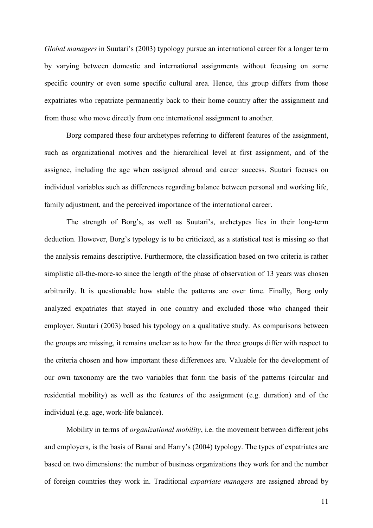*Global managers* in Suutari's (2003) typology pursue an international career for a longer term by varying between domestic and international assignments without focusing on some specific country or even some specific cultural area. Hence, this group differs from those expatriates who repatriate permanently back to their home country after the assignment and from those who move directly from one international assignment to another.

Borg compared these four archetypes referring to different features of the assignment, such as organizational motives and the hierarchical level at first assignment, and of the assignee, including the age when assigned abroad and career success. Suutari focuses on individual variables such as differences regarding balance between personal and working life, family adjustment, and the perceived importance of the international career.

The strength of Borg's, as well as Suutari's, archetypes lies in their long-term deduction. However, Borg's typology is to be criticized, as a statistical test is missing so that the analysis remains descriptive. Furthermore, the classification based on two criteria is rather simplistic all-the-more-so since the length of the phase of observation of 13 years was chosen arbitrarily. It is questionable how stable the patterns are over time. Finally, Borg only analyzed expatriates that stayed in one country and excluded those who changed their employer. Suutari (2003) based his typology on a qualitative study. As comparisons between the groups are missing, it remains unclear as to how far the three groups differ with respect to the criteria chosen and how important these differences are. Valuable for the development of our own taxonomy are the two variables that form the basis of the patterns (circular and residential mobility) as well as the features of the assignment (e.g. duration) and of the individual (e.g. age, work-life balance).

Mobility in terms of *organizational mobility*, i.e. the movement between different jobs and employers, is the basis of Banai and Harry's (2004) typology. The types of expatriates are based on two dimensions: the number of business organizations they work for and the number of foreign countries they work in. Traditional *expatriate managers* are assigned abroad by

11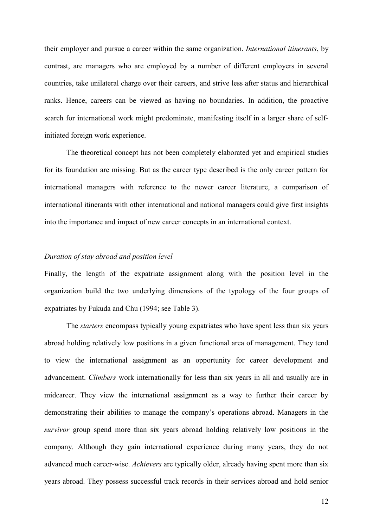their employer and pursue a career within the same organization. *International itinerants*, by contrast, are managers who are employed by a number of different employers in several countries, take unilateral charge over their careers, and strive less after status and hierarchical ranks. Hence, careers can be viewed as having no boundaries. In addition, the proactive search for international work might predominate, manifesting itself in a larger share of selfinitiated foreign work experience.

The theoretical concept has not been completely elaborated yet and empirical studies for its foundation are missing. But as the career type described is the only career pattern for international managers with reference to the newer career literature, a comparison of international itinerants with other international and national managers could give first insights into the importance and impact of new career concepts in an international context.

## *Duration of stay abroad and position level*

Finally, the length of the expatriate assignment along with the position level in the organization build the two underlying dimensions of the typology of the four groups of expatriates by Fukuda and Chu (1994; see Table 3).

The *starters* encompass typically young expatriates who have spent less than six years abroad holding relatively low positions in a given functional area of management. They tend to view the international assignment as an opportunity for career development and advancement. *Climbers* work internationally for less than six years in all and usually are in midcareer. They view the international assignment as a way to further their career by demonstrating their abilities to manage the company's operations abroad. Managers in the *survivor* group spend more than six years abroad holding relatively low positions in the company. Although they gain international experience during many years, they do not advanced much career-wise. *Achievers* are typically older, already having spent more than six years abroad. They possess successful track records in their services abroad and hold senior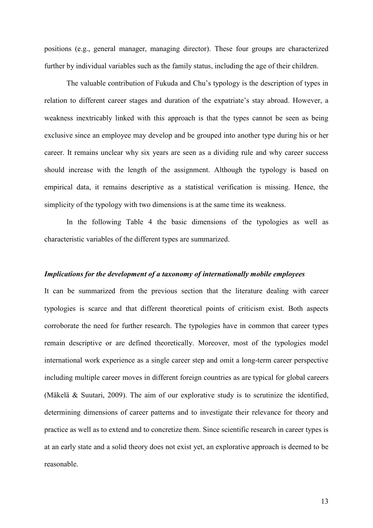positions (e.g., general manager, managing director). These four groups are characterized further by individual variables such as the family status, including the age of their children.

The valuable contribution of Fukuda and Chu's typology is the description of types in relation to different career stages and duration of the expatriate's stay abroad. However, a weakness inextricably linked with this approach is that the types cannot be seen as being exclusive since an employee may develop and be grouped into another type during his or her career. It remains unclear why six years are seen as a dividing rule and why career success should increase with the length of the assignment. Although the typology is based on empirical data, it remains descriptive as a statistical verification is missing. Hence, the simplicity of the typology with two dimensions is at the same time its weakness.

In the following Table 4 the basic dimensions of the typologies as well as characteristic variables of the different types are summarized.

## *Implications for the development of a taxonomy of internationally mobile employees*

It can be summarized from the previous section that the literature dealing with career typologies is scarce and that different theoretical points of criticism exist. Both aspects corroborate the need for further research. The typologies have in common that career types remain descriptive or are defined theoretically. Moreover, most of the typologies model international work experience as a single career step and omit a long-term career perspective including multiple career moves in different foreign countries as are typical for global careers (Mäkelä & Suutari, 2009). The aim of our explorative study is to scrutinize the identified, determining dimensions of career patterns and to investigate their relevance for theory and practice as well as to extend and to concretize them. Since scientific research in career types is at an early state and a solid theory does not exist yet, an explorative approach is deemed to be reasonable.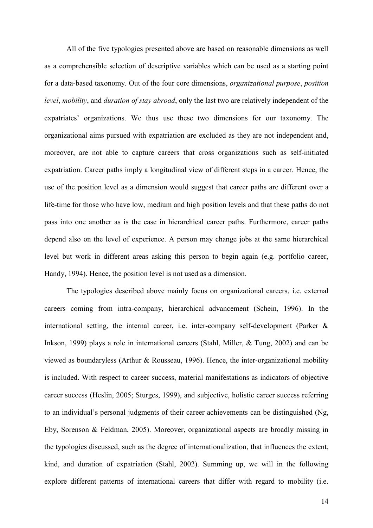All of the five typologies presented above are based on reasonable dimensions as well as a comprehensible selection of descriptive variables which can be used as a starting point for a data-based taxonomy. Out of the four core dimensions, *organizational purpose*, *position level*, *mobility*, and *duration of stay abroad*, only the last two are relatively independent of the expatriates' organizations. We thus use these two dimensions for our taxonomy. The organizational aims pursued with expatriation are excluded as they are not independent and, moreover, are not able to capture careers that cross organizations such as self-initiated expatriation. Career paths imply a longitudinal view of different steps in a career. Hence, the use of the position level as a dimension would suggest that career paths are different over a life-time for those who have low, medium and high position levels and that these paths do not pass into one another as is the case in hierarchical career paths. Furthermore, career paths depend also on the level of experience. A person may change jobs at the same hierarchical level but work in different areas asking this person to begin again (e.g. portfolio career, Handy, 1994). Hence, the position level is not used as a dimension.

The typologies described above mainly focus on organizational careers, i.e. external careers coming from intra-company, hierarchical advancement (Schein, 1996). In the international setting, the internal career, i.e. inter-company self-development (Parker & Inkson, 1999) plays a role in international careers (Stahl, Miller, & Tung, 2002) and can be viewed as boundaryless (Arthur & Rousseau, 1996). Hence, the inter-organizational mobility is included. With respect to career success, material manifestations as indicators of objective career success (Heslin, 2005; Sturges, 1999), and subjective, holistic career success referring to an individual's personal judgments of their career achievements can be distinguished (Ng, Eby, Sorenson & Feldman, 2005). Moreover, organizational aspects are broadly missing in the typologies discussed, such as the degree of internationalization, that influences the extent, kind, and duration of expatriation (Stahl, 2002). Summing up, we will in the following explore different patterns of international careers that differ with regard to mobility (i.e.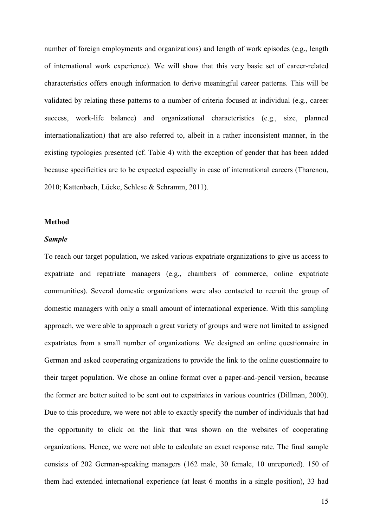number of foreign employments and organizations) and length of work episodes (e.g., length of international work experience). We will show that this very basic set of career-related characteristics offers enough information to derive meaningful career patterns. This will be validated by relating these patterns to a number of criteria focused at individual (e.g., career success, work-life balance) and organizational characteristics (e.g., size, planned internationalization) that are also referred to, albeit in a rather inconsistent manner, in the existing typologies presented (cf. Table 4) with the exception of gender that has been added because specificities are to be expected especially in case of international careers (Tharenou, 2010; Kattenbach, Lücke, Schlese & Schramm, 2011).

#### **Method**

## *Sample*

To reach our target population, we asked various expatriate organizations to give us access to expatriate and repatriate managers (e.g., chambers of commerce, online expatriate communities). Several domestic organizations were also contacted to recruit the group of domestic managers with only a small amount of international experience. With this sampling approach, we were able to approach a great variety of groups and were not limited to assigned expatriates from a small number of organizations. We designed an online questionnaire in German and asked cooperating organizations to provide the link to the online questionnaire to their target population. We chose an online format over a paper-and-pencil version, because the former are better suited to be sent out to expatriates in various countries (Dillman, 2000). Due to this procedure, we were not able to exactly specify the number of individuals that had the opportunity to click on the link that was shown on the websites of cooperating organizations. Hence, we were not able to calculate an exact response rate. The final sample consists of 202 German-speaking managers (162 male, 30 female, 10 unreported). 150 of them had extended international experience (at least 6 months in a single position), 33 had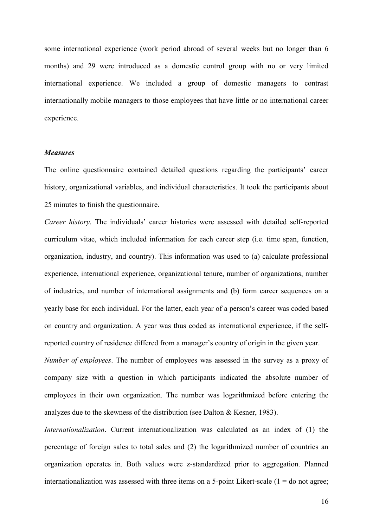some international experience (work period abroad of several weeks but no longer than 6 months) and 29 were introduced as a domestic control group with no or very limited international experience. We included a group of domestic managers to contrast internationally mobile managers to those employees that have little or no international career experience.

#### *Measures*

The online questionnaire contained detailed questions regarding the participants' career history, organizational variables, and individual characteristics. It took the participants about 25 minutes to finish the questionnaire.

*Career history.* The individuals' career histories were assessed with detailed self-reported curriculum vitae, which included information for each career step (i.e. time span, function, organization, industry, and country). This information was used to (a) calculate professional experience, international experience, organizational tenure, number of organizations, number of industries, and number of international assignments and (b) form career sequences on a yearly base for each individual. For the latter, each year of a person's career was coded based on country and organization. A year was thus coded as international experience, if the selfreported country of residence differed from a manager's country of origin in the given year.

*Number of employees*. The number of employees was assessed in the survey as a proxy of company size with a question in which participants indicated the absolute number of employees in their own organization. The number was logarithmized before entering the analyzes due to the skewness of the distribution (see Dalton & Kesner, 1983).

*Internationalization*. Current internationalization was calculated as an index of (1) the percentage of foreign sales to total sales and (2) the logarithmized number of countries an organization operates in. Both values were z-standardized prior to aggregation. Planned internationalization was assessed with three items on a 5-point Likert-scale  $(1 = do not agree;$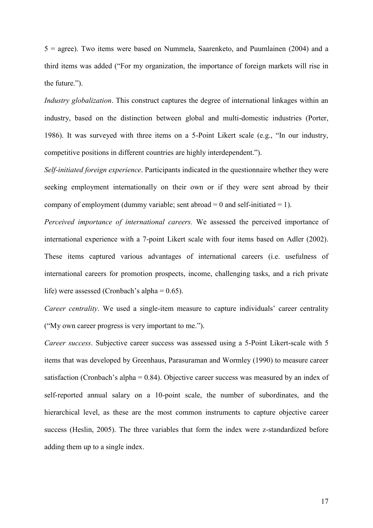5 = agree). Two items were based on Nummela, Saarenketo, and Puumlainen (2004) and a third items was added ("For my organization, the importance of foreign markets will rise in the future.").

*Industry globalization*. This construct captures the degree of international linkages within an industry, based on the distinction between global and multi-domestic industries (Porter, 1986). It was surveyed with three items on a 5-Point Likert scale (e.g., "In our industry, competitive positions in different countries are highly interdependent.").

*Self-initiated foreign experience*. Participants indicated in the questionnaire whether they were seeking employment internationally on their own or if they were sent abroad by their company of employment (dummy variable; sent abroad  $= 0$  and self-initiated  $= 1$ ).

*Perceived importance of international careers.* We assessed the perceived importance of international experience with a 7-point Likert scale with four items based on Adler (2002). These items captured various advantages of international careers (i.e. usefulness of international careers for promotion prospects, income, challenging tasks, and a rich private life) were assessed (Cronbach's alpha = 0.65).

*Career centrality*. We used a single-item measure to capture individuals' career centrality ("My own career progress is very important to me.").

*Career success*. Subjective career success was assessed using a 5-Point Likert-scale with 5 items that was developed by Greenhaus, Parasuraman and Wormley (1990) to measure career satisfaction (Cronbach's alpha = 0.84). Objective career success was measured by an index of self-reported annual salary on a 10-point scale, the number of subordinates, and the hierarchical level, as these are the most common instruments to capture objective career success (Heslin, 2005). The three variables that form the index were z-standardized before adding them up to a single index.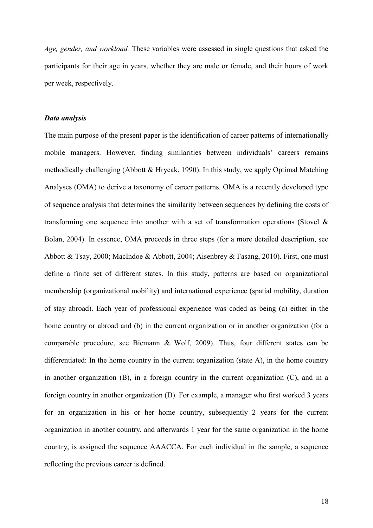*Age, gender, and workload.* These variables were assessed in single questions that asked the participants for their age in years, whether they are male or female, and their hours of work per week, respectively.

#### *Data analysis*

The main purpose of the present paper is the identification of career patterns of internationally mobile managers. However, finding similarities between individuals' careers remains methodically challenging (Abbott & Hrycak, 1990). In this study, we apply Optimal Matching Analyses (OMA) to derive a taxonomy of career patterns. OMA is a recently developed type of sequence analysis that determines the similarity between sequences by defining the costs of transforming one sequence into another with a set of transformation operations (Stovel & Bolan, 2004). In essence, OMA proceeds in three steps (for a more detailed description, see Abbott & Tsay, 2000; MacIndoe & Abbott, 2004; Aisenbrey & Fasang, 2010). First, one must define a finite set of different states. In this study, patterns are based on organizational membership (organizational mobility) and international experience (spatial mobility, duration of stay abroad). Each year of professional experience was coded as being (a) either in the home country or abroad and (b) in the current organization or in another organization (for a comparable procedure, see Biemann & Wolf, 2009). Thus, four different states can be differentiated: In the home country in the current organization (state A), in the home country in another organization (B), in a foreign country in the current organization (C), and in a foreign country in another organization (D). For example, a manager who first worked 3 years for an organization in his or her home country, subsequently 2 years for the current organization in another country, and afterwards 1 year for the same organization in the home country, is assigned the sequence AAACCA. For each individual in the sample, a sequence reflecting the previous career is defined.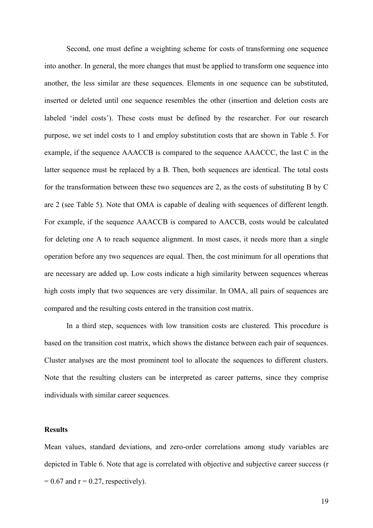Second, one must define a weighting scheme for costs of transforming one sequence into another. In general, the more changes that must be applied to transform one sequence into another, the less similar are these sequences. Elements in one sequence can be substituted, inserted or deleted until one sequence resembles the other (insertion and deletion costs are labeled 'indel costs'). These costs must be defined by the researcher. For our research purpose, we set indel costs to 1 and employ substitution costs that are shown in Table 5. For example, if the sequence AAACCB is compared to the sequence AAACCC, the last C in the latter sequence must be replaced by a B. Then, both sequences are identical. The total costs for the transformation between these two sequences are 2, as the costs of substituting B by C are 2 (see Table 5). Note that OMA is capable of dealing with sequences of different length. For example, if the sequence AAACCB is compared to AACCB, costs would be calculated for deleting one A to reach sequence alignment. In most cases, it needs more than a single operation before any two sequences are equal. Then, the cost minimum for all operations that are necessary are added up. Low costs indicate a high similarity between sequences whereas high costs imply that two sequences are very dissimilar. In OMA, all pairs of sequences are compared and the resulting costs entered in the transition cost matrix.

In a third step, sequences with low transition costs are clustered. This procedure is based on the transition cost matrix, which shows the distance between each pair of sequences. Cluster analyses are the most prominent tool to allocate the sequences to different clusters. Note that the resulting clusters can be interpreted as career patterns, since they comprise individuals with similar career sequences.

#### **Results**

Mean values, standard deviations, and zero-order correlations among study variables are depicted in Table 6. Note that age is correlated with objective and subjective career success (r  $= 0.67$  and  $r = 0.27$ , respectively).

19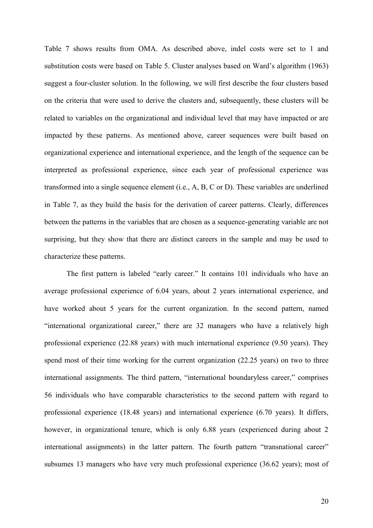Table 7 shows results from OMA. As described above, indel costs were set to 1 and substitution costs were based on Table 5. Cluster analyses based on Ward's algorithm (1963) suggest a four-cluster solution. In the following, we will first describe the four clusters based on the criteria that were used to derive the clusters and, subsequently, these clusters will be related to variables on the organizational and individual level that may have impacted or are impacted by these patterns. As mentioned above, career sequences were built based on organizational experience and international experience, and the length of the sequence can be interpreted as professional experience, since each year of professional experience was transformed into a single sequence element (i.e., A, B, C or D). These variables are underlined in Table 7, as they build the basis for the derivation of career patterns. Clearly, differences between the patterns in the variables that are chosen as a sequence-generating variable are not surprising, but they show that there are distinct careers in the sample and may be used to characterize these patterns.

The first pattern is labeled "early career." It contains 101 individuals who have an average professional experience of 6.04 years, about 2 years international experience, and have worked about 5 years for the current organization. In the second pattern, named "international organizational career," there are 32 managers who have a relatively high professional experience (22.88 years) with much international experience (9.50 years). They spend most of their time working for the current organization (22.25 years) on two to three international assignments. The third pattern, "international boundaryless career," comprises 56 individuals who have comparable characteristics to the second pattern with regard to professional experience (18.48 years) and international experience (6.70 years). It differs, however, in organizational tenure, which is only 6.88 years (experienced during about 2 international assignments) in the latter pattern. The fourth pattern "transnational career" subsumes 13 managers who have very much professional experience (36.62 years); most of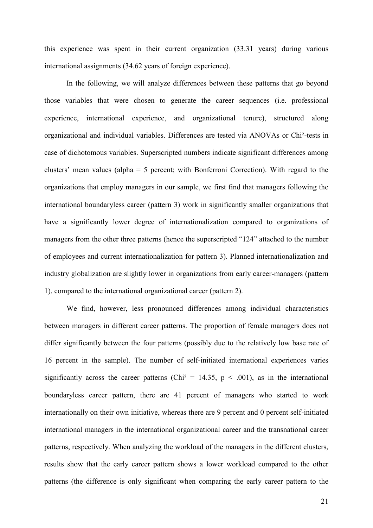this experience was spent in their current organization (33.31 years) during various international assignments (34.62 years of foreign experience).

In the following, we will analyze differences between these patterns that go beyond those variables that were chosen to generate the career sequences (i.e. professional experience, international experience, and organizational tenure), structured along organizational and individual variables. Differences are tested via ANOVAs or Chi²-tests in case of dichotomous variables. Superscripted numbers indicate significant differences among clusters' mean values (alpha = 5 percent; with Bonferroni Correction). With regard to the organizations that employ managers in our sample, we first find that managers following the international boundaryless career (pattern 3) work in significantly smaller organizations that have a significantly lower degree of internationalization compared to organizations of managers from the other three patterns (hence the superscripted "124" attached to the number of employees and current internationalization for pattern 3). Planned internationalization and industry globalization are slightly lower in organizations from early career-managers (pattern 1), compared to the international organizational career (pattern 2).

We find, however, less pronounced differences among individual characteristics between managers in different career patterns. The proportion of female managers does not differ significantly between the four patterns (possibly due to the relatively low base rate of 16 percent in the sample). The number of self-initiated international experiences varies significantly across the career patterns (Chi<sup>2</sup> = 14.35, p < .001), as in the international boundaryless career pattern, there are 41 percent of managers who started to work internationally on their own initiative, whereas there are 9 percent and 0 percent self-initiated international managers in the international organizational career and the transnational career patterns, respectively. When analyzing the workload of the managers in the different clusters, results show that the early career pattern shows a lower workload compared to the other patterns (the difference is only significant when comparing the early career pattern to the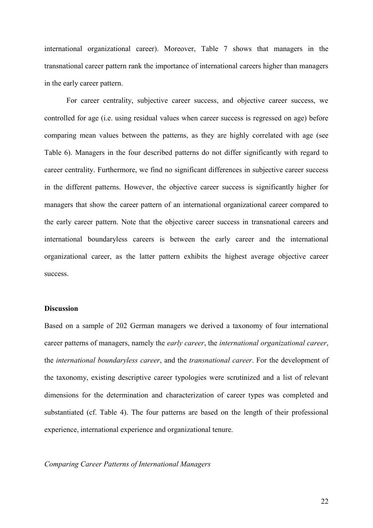international organizational career). Moreover, Table 7 shows that managers in the transnational career pattern rank the importance of international careers higher than managers in the early career pattern.

For career centrality, subjective career success, and objective career success, we controlled for age (i.e. using residual values when career success is regressed on age) before comparing mean values between the patterns, as they are highly correlated with age (see Table 6). Managers in the four described patterns do not differ significantly with regard to career centrality. Furthermore, we find no significant differences in subjective career success in the different patterns. However, the objective career success is significantly higher for managers that show the career pattern of an international organizational career compared to the early career pattern. Note that the objective career success in transnational careers and international boundaryless careers is between the early career and the international organizational career, as the latter pattern exhibits the highest average objective career success.

## **Discussion**

Based on a sample of 202 German managers we derived a taxonomy of four international career patterns of managers, namely the *early career*, the *international organizational career*, the *international boundaryless career*, and the *transnational career*. For the development of the taxonomy, existing descriptive career typologies were scrutinized and a list of relevant dimensions for the determination and characterization of career types was completed and substantiated (cf. Table 4). The four patterns are based on the length of their professional experience, international experience and organizational tenure.

## *Comparing Career Patterns of International Managers*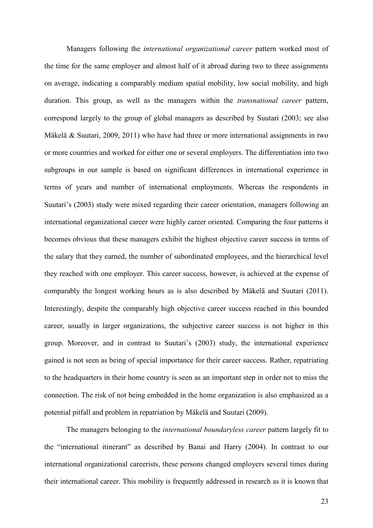Managers following the *international organizational career* pattern worked most of the time for the same employer and almost half of it abroad during two to three assignments on average, indicating a comparably medium spatial mobility, low social mobility, and high duration. This group, as well as the managers within the *transnational career* pattern, correspond largely to the group of global managers as described by Suutari (2003; see also Mäkelä & Suutari, 2009, 2011) who have had three or more international assignments in two or more countries and worked for either one or several employers. The differentiation into two subgroups in our sample is based on significant differences in international experience in terms of years and number of international employments. Whereas the respondents in Suutari's (2003) study were mixed regarding their career orientation, managers following an international organizational career were highly career oriented. Comparing the four patterns it becomes obvious that these managers exhibit the highest objective career success in terms of the salary that they earned, the number of subordinated employees, and the hierarchical level they reached with one employer. This career success, however, is achieved at the expense of comparably the longest working hours as is also described by Mäkelä and Suutari (2011). Interestingly, despite the comparably high objective career success reached in this bounded career, usually in larger organizations, the subjective career success is not higher in this group. Moreover, and in contrast to Suutari's (2003) study, the international experience gained is not seen as being of special importance for their career success. Rather, repatriating to the headquarters in their home country is seen as an important step in order not to miss the connection. The risk of not being embedded in the home organization is also emphasized as a potential pitfall and problem in repatriation by Mäkelä and Suutari (2009).

The managers belonging to the *international boundaryless career* pattern largely fit to the "international itinerant" as described by Banai and Harry (2004). In contrast to our international organizational careerists, these persons changed employers several times during their international career. This mobility is frequently addressed in research as it is known that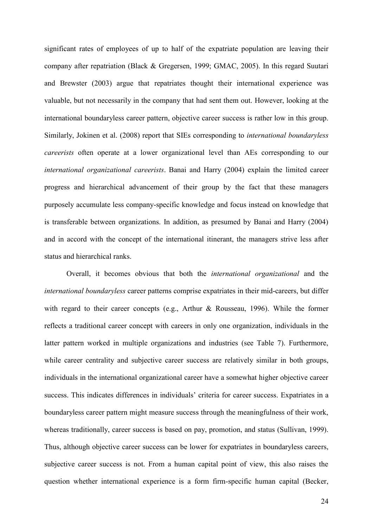significant rates of employees of up to half of the expatriate population are leaving their company after repatriation (Black & Gregersen, 1999; GMAC, 2005). In this regard Suutari and Brewster (2003) argue that repatriates thought their international experience was valuable, but not necessarily in the company that had sent them out. However, looking at the international boundaryless career pattern, objective career success is rather low in this group. Similarly, Jokinen et al. (2008) report that SIEs corresponding to *international boundaryless careerists* often operate at a lower organizational level than AEs corresponding to our *international organizational careerists*. Banai and Harry (2004) explain the limited career progress and hierarchical advancement of their group by the fact that these managers purposely accumulate less company-specific knowledge and focus instead on knowledge that is transferable between organizations. In addition, as presumed by Banai and Harry (2004) and in accord with the concept of the international itinerant, the managers strive less after status and hierarchical ranks.

Overall, it becomes obvious that both the *international organizational* and the *international boundaryless* career patterns comprise expatriates in their mid-careers, but differ with regard to their career concepts (e.g., Arthur & Rousseau, 1996). While the former reflects a traditional career concept with careers in only one organization, individuals in the latter pattern worked in multiple organizations and industries (see Table 7). Furthermore, while career centrality and subjective career success are relatively similar in both groups, individuals in the international organizational career have a somewhat higher objective career success. This indicates differences in individuals' criteria for career success. Expatriates in a boundaryless career pattern might measure success through the meaningfulness of their work, whereas traditionally, career success is based on pay, promotion, and status (Sullivan, 1999). Thus, although objective career success can be lower for expatriates in boundaryless careers, subjective career success is not. From a human capital point of view, this also raises the question whether international experience is a form firm-specific human capital (Becker,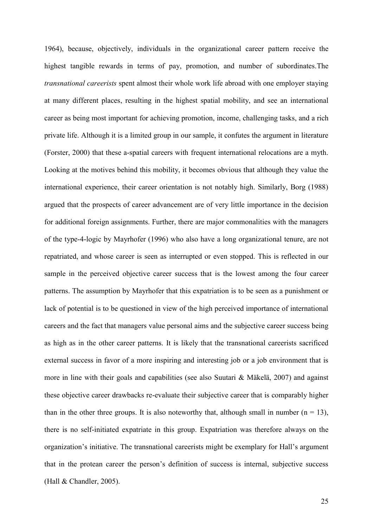1964), because, objectively, individuals in the organizational career pattern receive the highest tangible rewards in terms of pay, promotion, and number of subordinates.The *transnational careerists* spent almost their whole work life abroad with one employer staying at many different places, resulting in the highest spatial mobility, and see an international career as being most important for achieving promotion, income, challenging tasks, and a rich private life. Although it is a limited group in our sample, it confutes the argument in literature (Forster, 2000) that these a-spatial careers with frequent international relocations are a myth. Looking at the motives behind this mobility, it becomes obvious that although they value the international experience, their career orientation is not notably high. Similarly, Borg (1988) argued that the prospects of career advancement are of very little importance in the decision for additional foreign assignments. Further, there are major commonalities with the managers of the type-4-logic by Mayrhofer (1996) who also have a long organizational tenure, are not repatriated, and whose career is seen as interrupted or even stopped. This is reflected in our sample in the perceived objective career success that is the lowest among the four career patterns. The assumption by Mayrhofer that this expatriation is to be seen as a punishment or lack of potential is to be questioned in view of the high perceived importance of international careers and the fact that managers value personal aims and the subjective career success being as high as in the other career patterns. It is likely that the transnational careerists sacrificed external success in favor of a more inspiring and interesting job or a job environment that is more in line with their goals and capabilities (see also Suutari & Mäkelä, 2007) and against these objective career drawbacks re-evaluate their subjective career that is comparably higher than in the other three groups. It is also noteworthy that, although small in number ( $n = 13$ ), there is no self-initiated expatriate in this group. Expatriation was therefore always on the organization's initiative. The transnational careerists might be exemplary for Hall's argument that in the protean career the person's definition of success is internal, subjective success (Hall & Chandler, 2005).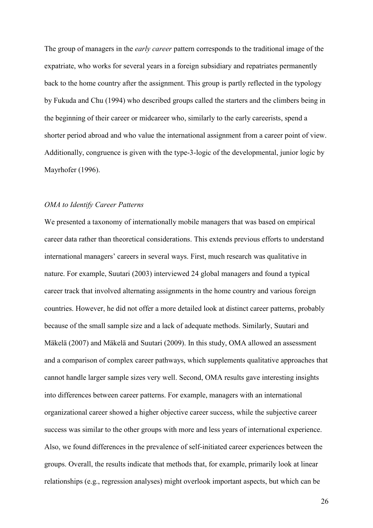The group of managers in the *early career* pattern corresponds to the traditional image of the expatriate, who works for several years in a foreign subsidiary and repatriates permanently back to the home country after the assignment. This group is partly reflected in the typology by Fukuda and Chu (1994) who described groups called the starters and the climbers being in the beginning of their career or midcareer who, similarly to the early careerists, spend a shorter period abroad and who value the international assignment from a career point of view. Additionally, congruence is given with the type-3-logic of the developmental, junior logic by Mayrhofer (1996).

## *OMA to Identify Career Patterns*

We presented a taxonomy of internationally mobile managers that was based on empirical career data rather than theoretical considerations. This extends previous efforts to understand international managers' careers in several ways. First, much research was qualitative in nature. For example, Suutari (2003) interviewed 24 global managers and found a typical career track that involved alternating assignments in the home country and various foreign countries. However, he did not offer a more detailed look at distinct career patterns, probably because of the small sample size and a lack of adequate methods. Similarly, Suutari and Mäkelä (2007) and Mäkelä and Suutari (2009). In this study, OMA allowed an assessment and a comparison of complex career pathways, which supplements qualitative approaches that cannot handle larger sample sizes very well. Second, OMA results gave interesting insights into differences between career patterns. For example, managers with an international organizational career showed a higher objective career success, while the subjective career success was similar to the other groups with more and less years of international experience. Also, we found differences in the prevalence of self-initiated career experiences between the groups. Overall, the results indicate that methods that, for example, primarily look at linear relationships (e.g., regression analyses) might overlook important aspects, but which can be

26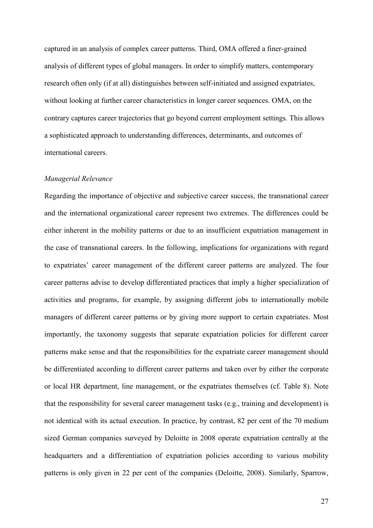captured in an analysis of complex career patterns. Third, OMA offered a finer-grained analysis of different types of global managers. In order to simplify matters, contemporary research often only (if at all) distinguishes between self-initiated and assigned expatriates, without looking at further career characteristics in longer career sequences. OMA, on the contrary captures career trajectories that go beyond current employment settings. This allows a sophisticated approach to understanding differences, determinants, and outcomes of international careers.

## *Managerial Relevance*

Regarding the importance of objective and subjective career success, the transnational career and the international organizational career represent two extremes. The differences could be either inherent in the mobility patterns or due to an insufficient expatriation management in the case of transnational careers. In the following, implications for organizations with regard to expatriates' career management of the different career patterns are analyzed. The four career patterns advise to develop differentiated practices that imply a higher specialization of activities and programs, for example, by assigning different jobs to internationally mobile managers of different career patterns or by giving more support to certain expatriates. Most importantly, the taxonomy suggests that separate expatriation policies for different career patterns make sense and that the responsibilities for the expatriate career management should be differentiated according to different career patterns and taken over by either the corporate or local HR department, line management, or the expatriates themselves (cf. Table 8). Note that the responsibility for several career management tasks (e.g., training and development) is not identical with its actual execution. In practice, by contrast, 82 per cent of the 70 medium sized German companies surveyed by Deloitte in 2008 operate expatriation centrally at the headquarters and a differentiation of expatriation policies according to various mobility patterns is only given in 22 per cent of the companies (Deloitte, 2008). Similarly, Sparrow,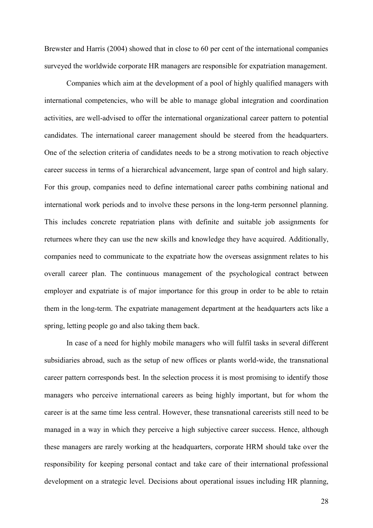Brewster and Harris (2004) showed that in close to 60 per cent of the international companies surveyed the worldwide corporate HR managers are responsible for expatriation management.

Companies which aim at the development of a pool of highly qualified managers with international competencies, who will be able to manage global integration and coordination activities, are well-advised to offer the international organizational career pattern to potential candidates. The international career management should be steered from the headquarters. One of the selection criteria of candidates needs to be a strong motivation to reach objective career success in terms of a hierarchical advancement, large span of control and high salary. For this group, companies need to define international career paths combining national and international work periods and to involve these persons in the long-term personnel planning. This includes concrete repatriation plans with definite and suitable job assignments for returnees where they can use the new skills and knowledge they have acquired. Additionally, companies need to communicate to the expatriate how the overseas assignment relates to his overall career plan. The continuous management of the psychological contract between employer and expatriate is of major importance for this group in order to be able to retain them in the long-term. The expatriate management department at the headquarters acts like a spring, letting people go and also taking them back.

In case of a need for highly mobile managers who will fulfil tasks in several different subsidiaries abroad, such as the setup of new offices or plants world-wide, the transnational career pattern corresponds best. In the selection process it is most promising to identify those managers who perceive international careers as being highly important, but for whom the career is at the same time less central. However, these transnational careerists still need to be managed in a way in which they perceive a high subjective career success. Hence, although these managers are rarely working at the headquarters, corporate HRM should take over the responsibility for keeping personal contact and take care of their international professional development on a strategic level. Decisions about operational issues including HR planning,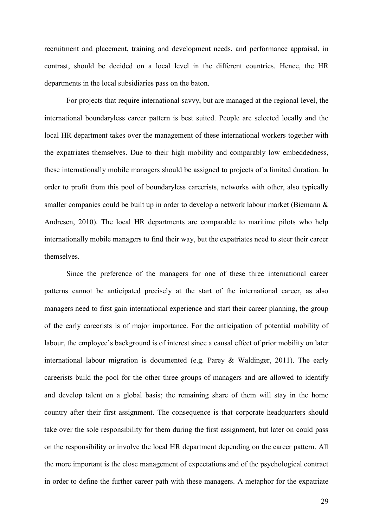recruitment and placement, training and development needs, and performance appraisal, in contrast, should be decided on a local level in the different countries. Hence, the HR departments in the local subsidiaries pass on the baton.

For projects that require international savvy, but are managed at the regional level, the international boundaryless career pattern is best suited. People are selected locally and the local HR department takes over the management of these international workers together with the expatriates themselves. Due to their high mobility and comparably low embeddedness, these internationally mobile managers should be assigned to projects of a limited duration. In order to profit from this pool of boundaryless careerists, networks with other, also typically smaller companies could be built up in order to develop a network labour market (Biemann & Andresen, 2010). The local HR departments are comparable to maritime pilots who help internationally mobile managers to find their way, but the expatriates need to steer their career themselves.

Since the preference of the managers for one of these three international career patterns cannot be anticipated precisely at the start of the international career, as also managers need to first gain international experience and start their career planning, the group of the early careerists is of major importance. For the anticipation of potential mobility of labour, the employee's background is of interest since a causal effect of prior mobility on later international labour migration is documented (e.g. Parey & Waldinger, 2011). The early careerists build the pool for the other three groups of managers and are allowed to identify and develop talent on a global basis; the remaining share of them will stay in the home country after their first assignment. The consequence is that corporate headquarters should take over the sole responsibility for them during the first assignment, but later on could pass on the responsibility or involve the local HR department depending on the career pattern. All the more important is the close management of expectations and of the psychological contract in order to define the further career path with these managers. A metaphor for the expatriate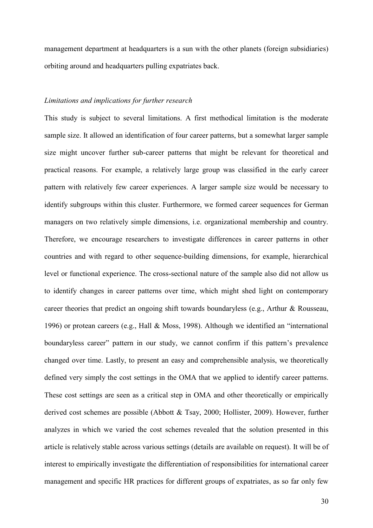management department at headquarters is a sun with the other planets (foreign subsidiaries) orbiting around and headquarters pulling expatriates back.

## *Limitations and implications for further research*

This study is subject to several limitations. A first methodical limitation is the moderate sample size. It allowed an identification of four career patterns, but a somewhat larger sample size might uncover further sub-career patterns that might be relevant for theoretical and practical reasons. For example, a relatively large group was classified in the early career pattern with relatively few career experiences. A larger sample size would be necessary to identify subgroups within this cluster. Furthermore, we formed career sequences for German managers on two relatively simple dimensions, i.e. organizational membership and country. Therefore, we encourage researchers to investigate differences in career patterns in other countries and with regard to other sequence-building dimensions, for example, hierarchical level or functional experience. The cross-sectional nature of the sample also did not allow us to identify changes in career patterns over time, which might shed light on contemporary career theories that predict an ongoing shift towards boundaryless (e.g., Arthur & Rousseau, 1996) or protean careers (e.g., Hall & Moss, 1998). Although we identified an "international boundaryless career" pattern in our study, we cannot confirm if this pattern's prevalence changed over time. Lastly, to present an easy and comprehensible analysis, we theoretically defined very simply the cost settings in the OMA that we applied to identify career patterns. These cost settings are seen as a critical step in OMA and other theoretically or empirically derived cost schemes are possible (Abbott & Tsay, 2000; Hollister, 2009). However, further analyzes in which we varied the cost schemes revealed that the solution presented in this article is relatively stable across various settings (details are available on request). It will be of interest to empirically investigate the differentiation of responsibilities for international career management and specific HR practices for different groups of expatriates, as so far only few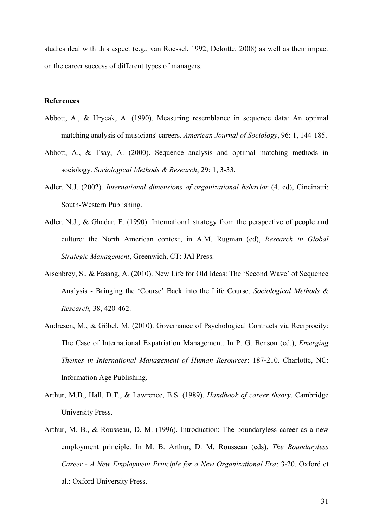studies deal with this aspect (e.g., van Roessel, 1992; Deloitte, 2008) as well as their impact on the career success of different types of managers.

## **References**

- Abbott, A., & Hrycak, A. (1990). Measuring resemblance in sequence data: An optimal matching analysis of musicians' careers. *American Journal of Sociology*, 96: 1, 144-185.
- Abbott, A., & Tsay, A. (2000). Sequence analysis and optimal matching methods in sociology. *Sociological Methods & Research*, 29: 1, 3-33.
- Adler, N.J. (2002). *International dimensions of organizational behavior* (4. ed), Cincinatti: South-Western Publishing.
- Adler, N.J., & Ghadar, F. (1990). International strategy from the perspective of people and culture: the North American context, in A.M. Rugman (ed), *Research in Global Strategic Management*, Greenwich, CT: JAI Press.
- Aisenbrey, S., & Fasang, A. (2010). New Life for Old Ideas: The 'Second Wave' of Sequence Analysis - Bringing the 'Course' Back into the Life Course. *Sociological Methods & Research,* 38, 420-462.
- Andresen, M., & Göbel, M. (2010). Governance of Psychological Contracts via Reciprocity: The Case of International Expatriation Management. In P. G. Benson (ed.), *Emerging Themes in International Management of Human Resources*: 187-210. Charlotte, NC: Information Age Publishing.
- Arthur, M.B., Hall, D.T., & Lawrence, B.S. (1989). *Handbook of career theory*, Cambridge University Press.
- Arthur, M. B., & Rousseau, D. M. (1996). Introduction: The boundaryless career as a new employment principle. In M. B. Arthur, D. M. Rousseau (eds), *The Boundaryless Career - A New Employment Principle for a New Organizational Era*: 3-20. Oxford et al.: Oxford University Press.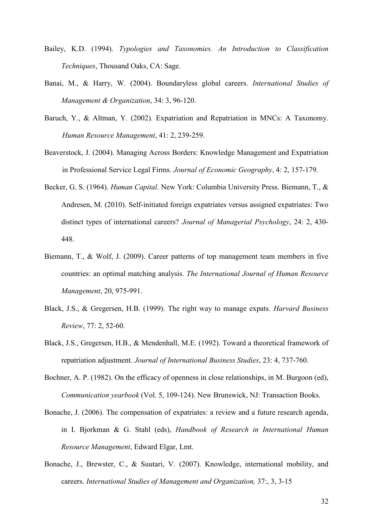- Bailey, K.D. (1994). *Typologies and Taxonomies. An Introduction to Classification Techniques*, Thousand Oaks, CA: Sage.
- Banai, M., & Harry, W. (2004). Boundaryless global careers. *International Studies of Management & Organization*, 34: 3, 96-120.
- Baruch, Y., & Altman, Y. (2002). Expatriation and Repatriation in MNCs: A Taxonomy. *Human Resource Management*, 41: 2, 239-259.
- Beaverstock, J. (2004). Managing Across Borders: Knowledge Management and Expatriation in Professional Service Legal Firms. *Journal of Economic Geography*, 4: 2, 157-179.
- Becker, G. S. (1964). *Human Capital*. New York: Columbia University Press. Biemann, T., & Andresen, M. (2010). Self-initiated foreign expatriates versus assigned expatriates: Two distinct types of international careers? *Journal of Managerial Psychology*, 24: 2, 430- 448.
- Biemann, T., & Wolf, J. (2009). Career patterns of top management team members in five countries: an optimal matching analysis. *The International Journal of Human Resource Management*, 20, 975-991.
- Black, J.S., & Gregersen, H.B. (1999). The right way to manage expats. *Harvard Business Review*, 77: 2, 52-60.
- Black, J.S., Gregersen, H.B., & Mendenhall, M.E. (1992). Toward a theoretical framework of repatriation adjustment. *Journal of International Business Studies*, 23: 4, 737-760.
- Bochner, A. P. (1982). On the efficacy of openness in close relationships, in M. Burgoon (ed), *Communication yearbook* (Vol. 5, 109-124). New Brunswick, NJ: Transaction Books.
- Bonache, J. (2006). The compensation of expatriates: a review and a future research agenda, in I. Bjorkman & G. Stahl (eds), *Handbook of Research in International Human Resource Management*, Edward Elgar, Lmt.
- Bonache, J., Brewster, C., & Suutari, V. (2007). Knowledge, international mobility, and careers. *International Studies of Management and Organization,* 37:, 3, 3-15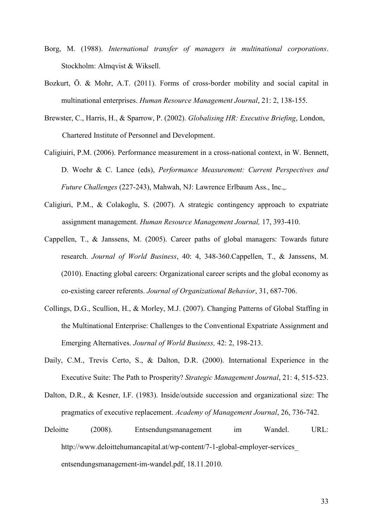- Borg, M. (1988). *International transfer of managers in multinational corporations*. Stockholm: Almqvist & Wiksell.
- Bozkurt, Ö. & Mohr, A.T. (2011). Forms of cross-border mobility and social capital in multinational enterprises. *Human Resource Management Journal*, 21: 2, 138-155.
- Brewster, C., Harris, H., & Sparrow, P. (2002). *Globalising HR: Executive Briefing*, London, Chartered Institute of Personnel and Development.
- Caligiuiri, P.M. (2006). Performance measurement in a cross-national context, in W. Bennett, D. Woehr & C. Lance (eds), *Performance Measurement: Current Perspectives and Future Challenges* (227-243), Mahwah, NJ: Lawrence Erlbaum Ass., Inc.,.
- Caligiuri, P.M., & Colakoglu, S. (2007). A strategic contingency approach to expatriate assignment management. *Human Resource Management Journal,* 17, 393-410.
- Cappellen, T., & Janssens, M. (2005). Career paths of global managers: Towards future research. *Journal of World Business*, 40: 4, 348-360.Cappellen, T., & Janssens, M. (2010). Enacting global careers: Organizational career scripts and the global economy as co-existing career referents. *Journal of Organizational Behavior*, 31, 687-706.
- Collings, D.G., Scullion, H., & Morley, M.J. (2007). Changing Patterns of Global Staffing in the Multinational Enterprise: Challenges to the Conventional Expatriate Assignment and Emerging Alternatives. *Journal of World Business,* 42: 2, 198-213.
- Daily, C.M., Trevis Certo, S., & Dalton, D.R. (2000). International Experience in the Executive Suite: The Path to Prosperity? *Strategic Management Journal*, 21: 4, 515-523.
- Dalton, D.R., & Kesner, I.F. (1983). Inside/outside succession and organizational size: The pragmatics of executive replacement. *Academy of Management Journal*, 26, 736-742.
- Deloitte (2008). Entsendungsmanagement im Wandel. URL: http://www.deloittehumancapital.at/wp-content/7-1-global-employer-services\_ entsendungsmanagement-im-wandel.pdf, 18.11.2010.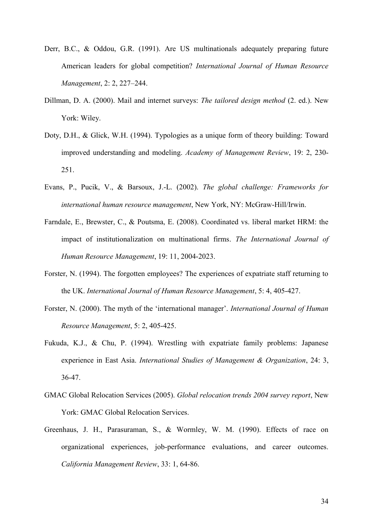- Derr, B.C., & Oddou, G.R. (1991). Are US multinationals adequately preparing future American leaders for global competition? *International Journal of Human Resource Management*, 2: 2, 227–244.
- Dillman, D. A. (2000). Mail and internet surveys: *The tailored design method* (2. ed.). New York: Wiley.
- Doty, D.H., & Glick, W.H. (1994). Typologies as a unique form of theory building: Toward improved understanding and modeling. *Academy of Management Review*, 19: 2, 230- 251.
- Evans, P., Pucik, V., & Barsoux, J.-L. (2002). *The global challenge: Frameworks for international human resource management*, New York, NY: McGraw-Hill/Irwin.
- Farndale, E., Brewster, C., & Poutsma, E. (2008). Coordinated vs. liberal market HRM: the impact of institutionalization on multinational firms. *The International Journal of Human Resource Management*, 19: 11, 2004-2023.
- Forster, N. (1994). The forgotten employees? The experiences of expatriate staff returning to the UK. *International Journal of Human Resource Management*, 5: 4, 405-427.
- Forster, N. (2000). The myth of the 'international manager'. *International Journal of Human Resource Management*, 5: 2, 405-425.
- Fukuda, K.J., & Chu, P. (1994). Wrestling with expatriate family problems: Japanese experience in East Asia. *International Studies of Management & Organization*, 24: 3, 36-47.
- GMAC Global Relocation Services (2005). *Global relocation trends 2004 survey report*, New York: GMAC Global Relocation Services.
- Greenhaus, J. H., Parasuraman, S., & Wormley, W. M. (1990). Effects of race on organizational experiences, job-performance evaluations, and career outcomes. *California Management Review*, 33: 1, 64-86.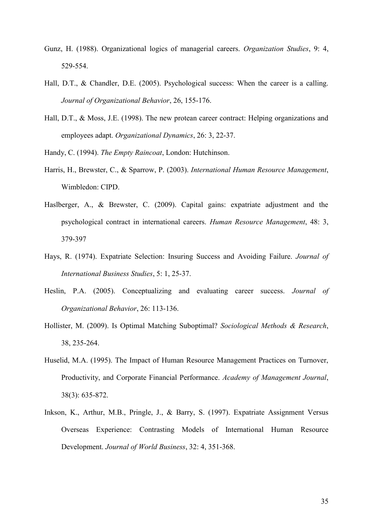- Gunz, H. (1988). Organizational logics of managerial careers. *Organization Studies*, 9: 4, 529-554.
- Hall, D.T., & Chandler, D.E. (2005). Psychological success: When the career is a calling. *Journal of Organizational Behavior*, 26, 155-176.
- Hall, D.T., & Moss, J.E. (1998). The new protean career contract: Helping organizations and employees adapt. *Organizational Dynamics*, 26: 3, 22-37.
- Handy, C. (1994). *The Empty Raincoat*, London: Hutchinson.
- Harris, H., Brewster, C., & Sparrow, P. (2003). *International Human Resource Management*, Wimbledon: CIPD.
- Haslberger, A., & Brewster, C. (2009). Capital gains: expatriate adjustment and the psychological contract in international careers. *Human Resource Management*, 48: 3, 379-397
- Hays, R. (1974). Expatriate Selection: Insuring Success and Avoiding Failure. *Journal of International Business Studies*, 5: 1, 25-37.
- Heslin, P.A. (2005). Conceptualizing and evaluating career success. *Journal of Organizational Behavior*, 26: 113-136.
- Hollister, M. (2009). Is Optimal Matching Suboptimal? *Sociological Methods & Research*, 38, 235-264.
- Huselid, M.A. (1995). The Impact of Human Resource Management Practices on Turnover, Productivity, and Corporate Financial Performance. *Academy of Management Journal*, 38(3): 635-872.
- Inkson, K., Arthur, M.B., Pringle, J., & Barry, S. (1997). Expatriate Assignment Versus Overseas Experience: Contrasting Models of International Human Resource Development. *Journal of World Business*, 32: 4, 351-368.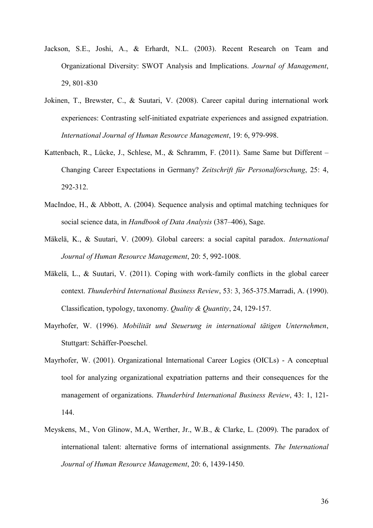- Jackson, S.E., Joshi, A., & Erhardt, N.L. (2003). Recent Research on Team and Organizational Diversity: SWOT Analysis and Implications. *Journal of Management*, 29, 801-830
- Jokinen, T., Brewster, C., & Suutari, V. (2008). Career capital during international work experiences: Contrasting self-initiated expatriate experiences and assigned expatriation. *International Journal of Human Resource Management*, 19: 6, 979-998.
- Kattenbach, R., Lücke, J., Schlese, M., & Schramm, F. (2011). Same Same but Different Changing Career Expectations in Germany? *Zeitschrift für Personalforschung*, 25: 4, 292-312.
- MacIndoe, H., & Abbott, A. (2004). Sequence analysis and optimal matching techniques for social science data, in *Handbook of Data Analysis* (387–406), Sage.
- Mäkelä, K., & Suutari, V. (2009). Global careers: a social capital paradox. *International Journal of Human Resource Management*, 20: 5, 992-1008.
- Mäkelä, L., & Suutari, V. (2011). Coping with work-family conflicts in the global career context. *Thunderbird International Business Review*, 53: 3, 365-375.Marradi, A. (1990). Classification, typology, taxonomy. *Quality & Quantity*, 24, 129-157.
- Mayrhofer, W. (1996). *Mobilität und Steuerung in international tätigen Unternehmen*, Stuttgart: Schäffer-Poeschel.
- Mayrhofer, W. (2001). Organizational International Career Logics (OICLs) A conceptual tool for analyzing organizational expatriation patterns and their consequences for the management of organizations. *Thunderbird International Business Review*, 43: 1, 121- 144.
- Meyskens, M., Von Glinow, M.A, Werther, Jr., W.B., & Clarke, L. (2009). The paradox of international talent: alternative forms of international assignments. *The International Journal of Human Resource Management*, 20: 6, 1439-1450.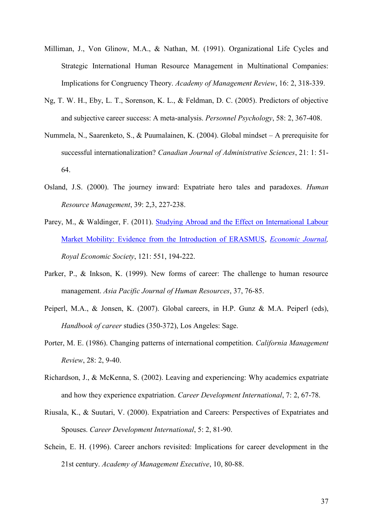- Milliman, J., Von Glinow, M.A., & Nathan, M. (1991). Organizational Life Cycles and Strategic International Human Resource Management in Multinational Companies: Implications for Congruency Theory. *Academy of Management Review*, 16: 2, 318-339.
- Ng, T. W. H., Eby, L. T., Sorenson, K. L., & Feldman, D. C. (2005). Predictors of objective and subjective career success: A meta-analysis. *Personnel Psychology*, 58: 2, 367-408.
- Nummela, N., Saarenketo, S., & Puumalainen, K. (2004). Global mindset A prerequisite for successful internationalization? *Canadian Journal of Administrative Sciences*, 21: 1: 51- 64.
- Osland, J.S. (2000). The journey inward: Expatriate hero tales and paradoxes. *Human Resource Management*, 39: 2,3, 227-238.
- Parey, M., & Waldinger, F. (2011). [Studying Abroad and the Effect on International Labour](http://ideas.repec.org/a/ecj/econjl/v121y2011i551p194-222.html)  [Market Mobility: Evidence from the Introduction of ERASMUS,](http://ideas.repec.org/a/ecj/econjl/v121y2011i551p194-222.html) *[Economic Journal,](http://ideas.repec.org/s/ecj/econjl.html) Royal Economic Society*, 121: 551, 194-222.
- Parker, P., & Inkson, K. (1999). New forms of career: The challenge to human resource management. *Asia Pacific Journal of Human Resources*, 37, 76-85.
- Peiperl, M.A., & Jonsen, K. (2007). Global careers, in H.P. Gunz & M.A. Peiperl (eds), *Handbook of career* studies (350-372), Los Angeles: Sage.
- Porter, M. E. (1986). Changing patterns of international competition. *California Management Review*, 28: 2, 9-40.
- Richardson, J., & McKenna, S. (2002). Leaving and experiencing: Why academics expatriate and how they experience expatriation. *Career Development International*, 7: 2, 67-78.
- Riusala, K., & Suutari, V. (2000). Expatriation and Careers: Perspectives of Expatriates and Spouses. *Career Development International*, 5: 2, 81-90.
- Schein, E. H. (1996). Career anchors revisited: Implications for career development in the 21st century. *Academy of Management Executive*, 10, 80-88.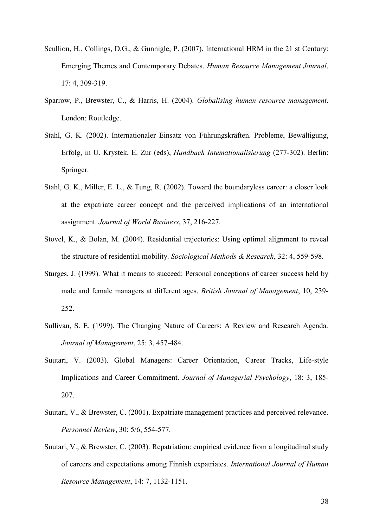- Scullion, H., Collings, D.G., & Gunnigle, P. (2007). International HRM in the 21 st Century: Emerging Themes and Contemporary Debates. *Human Resource Management Journal*, 17: 4, 309-319.
- Sparrow, P., Brewster, C., & Harris, H. (2004). *Globalising human resource management*. London: Routledge.
- Stahl, G. K. (2002). Internationaler Einsatz von Führungskräften. Probleme, Bewältigung, Erfolg, in U. Krystek, E. Zur (eds), *Handbuch Intemationalisierung* (277-302). Berlin: Springer.
- Stahl, G. K., Miller, E. L., & Tung, R. (2002). Toward the boundaryless career: a closer look at the expatriate career concept and the perceived implications of an international assignment. *Journal of World Business*, 37, 216-227.
- Stovel, K., & Bolan, M. (2004). Residential trajectories: Using optimal alignment to reveal the structure of residential mobility. *Sociological Methods & Research*, 32: 4, 559-598.
- Sturges, J. (1999). What it means to succeed: Personal conceptions of career success held by male and female managers at different ages. *British Journal of Management*, 10, 239- 252.
- Sullivan, S. E. (1999). The Changing Nature of Careers: A Review and Research Agenda. *Journal of Management*, 25: 3, 457-484.
- Suutari, V. (2003). Global Managers: Career Orientation, Career Tracks, Life-style Implications and Career Commitment. *Journal of Managerial Psychology*, 18: 3, 185- 207.
- Suutari, V., & Brewster, C. (2001). Expatriate management practices and perceived relevance. *Personnel Review*, 30: 5/6, 554-577.
- Suutari, V., & Brewster, C. (2003). Repatriation: empirical evidence from a longitudinal study of careers and expectations among Finnish expatriates. *International Journal of Human Resource Management*, 14: 7, 1132-1151.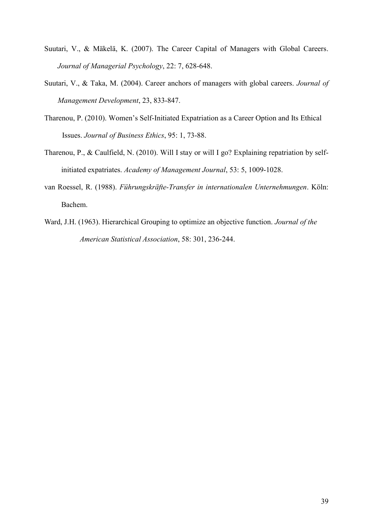- Suutari, V., & Mäkelä, K. (2007). The Career Capital of Managers with Global Careers. *Journal of Managerial Psychology*, 22: 7, 628-648.
- Suutari, V., & Taka, M. (2004). Career anchors of managers with global careers. *Journal of Management Development*, 23, 833-847.
- Tharenou, P. (2010). Women's Self-Initiated Expatriation as a Career Option and Its Ethical Issues. *Journal of Business Ethics*, 95: 1, 73-88.
- Tharenou, P., & Caulfield, N. (2010). Will I stay or will I go? Explaining repatriation by selfinitiated expatriates. *Academy of Management Journal*, 53: 5, 1009-1028.
- van Roessel, R. (1988). *Führungskräfte-Transfer in internationalen Unternehmungen*. Köln: Bachem.
- Ward, J.H. (1963). Hierarchical Grouping to optimize an objective function. *Journal of the American Statistical Association*, 58: 301, 236-244.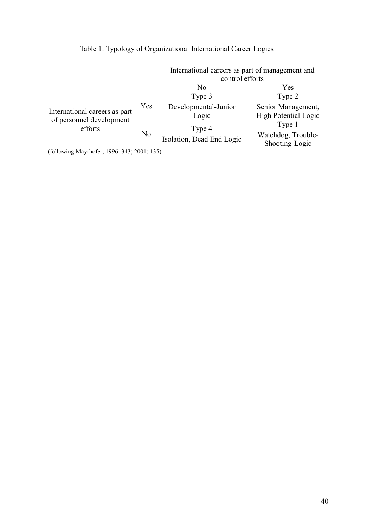|                                                           |                | International careers as part of management and<br>control efforts |                                                   |  |  |  |
|-----------------------------------------------------------|----------------|--------------------------------------------------------------------|---------------------------------------------------|--|--|--|
|                                                           |                | No                                                                 | Yes                                               |  |  |  |
| International careers as part<br>of personnel development |                | Type 3                                                             | Type 2                                            |  |  |  |
|                                                           | Yes            | Developmental-Junior<br>Logic                                      | Senior Management,<br><b>High Potential Logic</b> |  |  |  |
| efforts                                                   | N <sub>0</sub> | Type 4                                                             | Type 1                                            |  |  |  |
| (0, 11, 1, 1, 0, 100, 010, 000, 100)                      |                | Isolation, Dead End Logic                                          | Watchdog, Trouble-<br>Shooting-Logic              |  |  |  |

# Table 1: Typology of Organizational International Career Logics

(following Mayrhofer, 1996: 343; 2001: 135)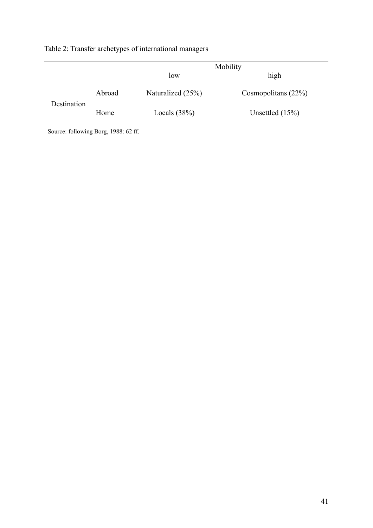|             |        | Mobility            |                       |  |  |  |
|-------------|--------|---------------------|-----------------------|--|--|--|
|             |        | low                 | high                  |  |  |  |
|             | Abroad | Naturalized $(25%)$ | Cosmopolitans $(22%)$ |  |  |  |
| Destination | Home   | Locals $(38%)$      | Unsettled $(15%)$     |  |  |  |

# Table 2: Transfer archetypes of international managers

Source: following Borg, 1988: 62 ff.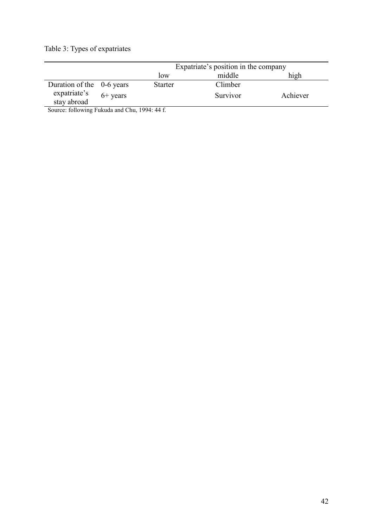# Table 3: Types of expatriates

|                           | Expatriate's position in the company |                |          |          |  |  |  |
|---------------------------|--------------------------------------|----------------|----------|----------|--|--|--|
|                           |                                      | low            | middle   | high     |  |  |  |
| Duration of the 0-6 years |                                      | <b>Starter</b> | Climber  |          |  |  |  |
| expatriate's              | $6+$ years                           |                | Survivor | Achiever |  |  |  |
| stay abroad               |                                      |                |          |          |  |  |  |

Source: following Fukuda and Chu, 1994: 44 f.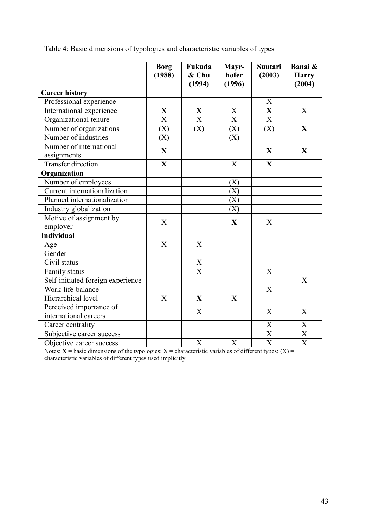|                                   | <b>Borg</b><br>(1988)   | Fukuda<br>& Chu         | Mayr-<br>hofer            | Suutari<br>(2003)       | Banai &<br><b>Harry</b>             |
|-----------------------------------|-------------------------|-------------------------|---------------------------|-------------------------|-------------------------------------|
|                                   |                         | (1994)                  | (1996)                    |                         | (2004)                              |
| <b>Career history</b>             |                         |                         |                           |                         |                                     |
| Professional experience           |                         |                         |                           | X                       |                                     |
| International experience          | $\mathbf{X}$            | $\mathbf X$             | X                         | $\overline{\mathbf{X}}$ | $\boldsymbol{\mathrm{X}}$           |
| Organizational tenure             | $\overline{\mathrm{X}}$ | X                       | $\boldsymbol{X}$          | $\overline{X}$          |                                     |
| Number of organizations           | $\overline{(\rm X)}$    | (X)                     | $\overline{(\rm X)}$      | (X)                     | $\overline{\mathbf{X}}$             |
| Number of industries              | (X)                     |                         | (X)                       |                         |                                     |
| Number of international           | $\mathbf{X}$            |                         |                           | X                       | $\mathbf X$                         |
| assignments                       |                         |                         |                           |                         |                                     |
| Transfer direction                | $\overline{\mathbf{X}}$ |                         | $\boldsymbol{X}$          | $\mathbf{X}$            |                                     |
| Organization                      |                         |                         |                           |                         |                                     |
| Number of employees               |                         |                         | (X)                       |                         |                                     |
| Current internationalization      |                         |                         | (X)                       |                         |                                     |
| Planned internationalization      |                         |                         | (X)                       |                         |                                     |
| Industry globalization            |                         |                         | (X)                       |                         |                                     |
| Motive of assignment by           | X                       |                         | X                         | X                       |                                     |
| employer                          |                         |                         |                           |                         |                                     |
| <b>Individual</b>                 |                         |                         |                           |                         |                                     |
| Age                               | $\overline{\mathrm{X}}$ | $\overline{\mathrm{X}}$ |                           |                         |                                     |
| Gender                            |                         |                         |                           |                         |                                     |
| Civil status                      |                         | $\boldsymbol{X}$        |                           |                         |                                     |
| Family status                     |                         | $\overline{X}$          |                           | X                       |                                     |
| Self-initiated foreign experience |                         |                         |                           |                         | X                                   |
| Work-life-balance                 |                         |                         |                           | $\overline{X}$          |                                     |
| <b>Hierarchical level</b>         | X                       | $\mathbf X$             | X                         |                         |                                     |
| Perceived importance of           |                         | X                       |                           | X                       | X                                   |
| international careers             |                         |                         |                           |                         |                                     |
| Career centrality                 |                         |                         |                           | $\overline{\mathrm{X}}$ | $\overline{\text{X}}$               |
| Subjective career success         |                         |                         |                           | $\mathbf X$             | $\frac{\overline{X}}{\overline{X}}$ |
| Objective career success          |                         | $\overline{X}$          | $\boldsymbol{\mathrm{X}}$ | $\overline{X}$          |                                     |

Table 4: Basic dimensions of typologies and characteristic variables of types

Notes:  $X =$  basic dimensions of the typologies;  $X =$  characteristic variables of different types;  $(X) =$ characteristic variables of different types used implicitly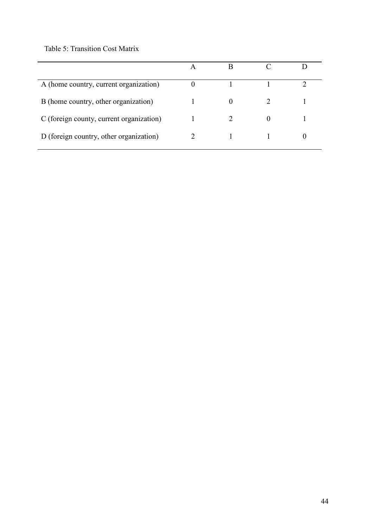Table 5: Transition Cost Matrix

| A (home country, current organization)   |  |  |
|------------------------------------------|--|--|
| B (home country, other organization)     |  |  |
| C (foreign county, current organization) |  |  |
| D (foreign country, other organization)  |  |  |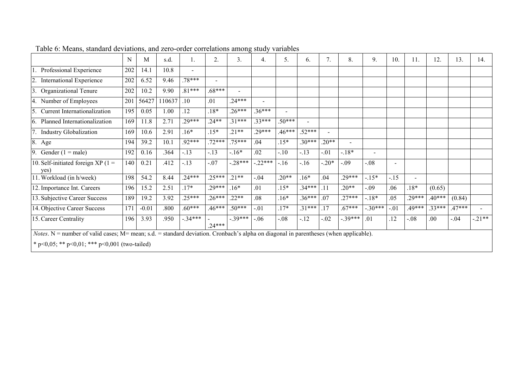|                                                                                                                                                                                               | N                | M       | s.d.   | 1.                       | 2.                       | 3.       | 4.       | 5.       | 6.       | 7.       | 8.       | 9.        | 10.    | 11.      | 12.     | 13.      | 14.     |
|-----------------------------------------------------------------------------------------------------------------------------------------------------------------------------------------------|------------------|---------|--------|--------------------------|--------------------------|----------|----------|----------|----------|----------|----------|-----------|--------|----------|---------|----------|---------|
| Professional Experience                                                                                                                                                                       | 202              | 14.1    | 10.8   | $\overline{\phantom{a}}$ |                          |          |          |          |          |          |          |           |        |          |         |          |         |
| <b>International Experience</b><br>2.                                                                                                                                                         | $\overline{202}$ | 6.52    | 9.46   | $.78***$                 | $\overline{\phantom{0}}$ |          |          |          |          |          |          |           |        |          |         |          |         |
| <b>Organizational Tenure</b><br>3.                                                                                                                                                            | 202              | 10.2    | 9.90   | $.81***$                 | $.68***$                 |          |          |          |          |          |          |           |        |          |         |          |         |
| 4. Number of Employees                                                                                                                                                                        | 201              | 56427   | 110637 | .10                      | .01                      | $.24***$ | $\sim$   |          |          |          |          |           |        |          |         |          |         |
| Current Internationalization<br>5.                                                                                                                                                            | 195              | 0.05    | 1.00   | .12                      | $.18*$                   | $.26***$ | $.36***$ |          |          |          |          |           |        |          |         |          |         |
| 6. Planned Internationalization                                                                                                                                                               | 169              | 11.8    | 2.71   | $.29***$                 | $.24**$                  | $.31***$ | $.33***$ | $.50***$ |          |          |          |           |        |          |         |          |         |
| 7. Industry Globalization                                                                                                                                                                     | 169              | 10.6    | 2.91   | $.16*$                   | $15*$                    | $.21**$  | $.29***$ | $.46***$ | $.52***$ |          |          |           |        |          |         |          |         |
| 8. Age                                                                                                                                                                                        | 194              | 39.2    | 10.1   | $.92***$                 | .72***                   | $.75***$ | .04      | $.15*$   | $.30***$ | $.20**$  |          |           |        |          |         |          |         |
| Gender $(1 = male)$<br>9.                                                                                                                                                                     | 192              | 0.16    | .364   | $-.13$                   | $-13$                    | $-16*$   | .02      | $-10$    | $-13$    | $-.01$   | $-18*$   |           |        |          |         |          |         |
| 10. Self-initiated foreign XP $(1 =$<br>yes)                                                                                                                                                  | 140              | 0.21    | .412   | $-13$                    | $-07$                    | $-28***$ | $-22***$ | $-16$    | $-16$    | $-0.20*$ | $-0.09$  | $-0.08$   |        |          |         |          |         |
| 11. Workload (in h/week)                                                                                                                                                                      | 198              | 54.2    | 8.44   | $.24***$                 | $.25***$                 | $.21**$  | $-0.04$  | $.20**$  | $.16*$   | .04      | $.29***$ | $-15*$    | $-15$  | $\sim$   |         |          |         |
| 12. Importance Int. Careers                                                                                                                                                                   | 196              | 15.2    | 2.51   | $.17*$                   | $.29***$                 | $.16*$   | .01      | $.15*$   | $.34***$ | .11      | $.20**$  | $-0.09$   | .06    | $.18*$   | (0.65)  |          |         |
| 13. Subjective Career Success                                                                                                                                                                 | 189              | 19.2    | 3.92   | $.25***$                 | $.26***$                 | $.22**$  | .08      | $.16*$   | $.36***$ | .07      | $.27***$ | $-18*$    | .05    | $.29***$ | $40***$ | (0.84)   |         |
| 14. Objective Career Success                                                                                                                                                                  | 171              | $-0.01$ | .800   | $.60***$                 | $.46***$                 | $.50***$ | $-.01$   | $.17*$   | $.31***$ | .17      | $.67***$ | $-.30***$ | $-.01$ | $.49***$ | .33***  | $.47***$ |         |
| 15. Career Centrality                                                                                                                                                                         | 196              | 3.93    | .950   | $-34***$                 | $74***$                  | $-39***$ | $-06$    | $-.08$   | $-12$    | $-0.02$  | $-39***$ | .01       | .12    | $-.08$   | 00      | $-.04$   | $-21**$ |
| Notes. N = number of valid cases; M= mean; s.d. = standard deviation. Cronbach's alpha on diagonal in parentheses (when applicable).<br>* $p<0.05$ ; ** $p<0.01$ ; *** $p<0.001$ (two-tailed) |                  |         |        |                          |                          |          |          |          |          |          |          |           |        |          |         |          |         |

Table 6: Means, standard deviations, and zero-order correlations among study variables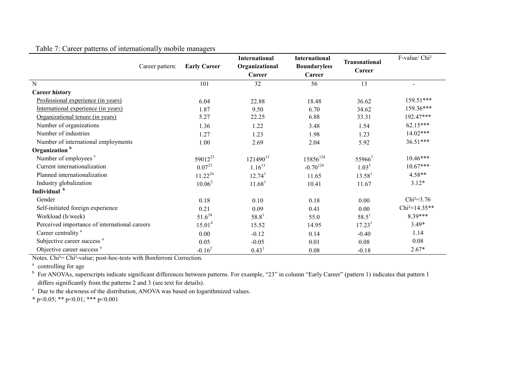## Table 7: Career patterns of internationally mobile managers

|                                               |                     | International            | <b>International</b>          | Transnational      | F-value/ Chi <sup>2</sup> |
|-----------------------------------------------|---------------------|--------------------------|-------------------------------|--------------------|---------------------------|
| Career pattern:                               | <b>Early Career</b> | Organizational<br>Career | <b>Boundaryless</b><br>Career | Career             |                           |
| $\mathbf N$                                   | 101                 | 32                       | 56                            | 13                 |                           |
| <b>Career history</b>                         |                     |                          |                               |                    |                           |
| Professional experience (in years)            | 6.04                | 22.88                    | 18.48                         | 36.62              | 159.51***                 |
| International experience (in years)           | 1.87                | 9.50                     | 6.70                          | 34.62              | 159.36***                 |
| Organizational tenure (in years)              | 5.27                | 22.25                    | 6.88                          | 33.31              | 192.47***                 |
| Number of organizations                       | 1.36                | 1.22                     | 3.48                          | 1.54               | $62.15***$                |
| Number of industries                          | 1.27                | 1.23                     | 1.98                          | 1.23               | $14.02***$                |
| Number of international employments           | 1.00                | 2.69                     | 2.04                          | 5.92               | $36.51***$                |
| Organization <sup>b</sup>                     |                     |                          |                               |                    |                           |
| Number of employees <sup>c</sup>              | 59012 <sup>23</sup> | $121490^{13}$            | 15856 <sup>124</sup>          | $55966^3$          | $10.46***$                |
| Current internationalization                  | $0.07^{23}$         | $1.16^{13}$              | $-0.70^{124}$                 | $1.03^{3}$         | $10.67***$                |
| Planned internationalization                  | $11.22^{24}$        | 12.74 <sup>1</sup>       | 11.65                         | 13.58 <sup>1</sup> | $4.58**$                  |
| Industry globalization                        | $10.06^2$           | 11.68 <sup>1</sup>       | 10.41                         | 11.67              | $3.12*$                   |
| Individual b                                  |                     |                          |                               |                    |                           |
| Gender                                        | 0.18                | 0.10                     | 0.18                          | 0.00               | $Chi^2 = 3.76$            |
| Self-initiated foreign experience             | 0.21                | 0.09                     | 0.41                          | $0.00\,$           | $Chi^2=14.35**$           |
| Workload (h/week)                             | $51.6^{24}$         | 58.8 <sup>1</sup>        | 55.0                          | $58.5^1$           | 8.39***                   |
| Perceived importance of international careers | 15.01 <sup>4</sup>  | 15.52                    | 14.95                         | 17.23 <sup>1</sup> | $3.49*$                   |
| Career centrality <sup>a</sup>                | 0.00                | $-0.12$                  | 0.14                          | $-0.40$            | 1.14                      |
| Subjective career success <sup>a</sup>        | 0.05                | $-0.05$                  | 0.01                          | 0.08               | 0.08                      |
| Objective career success <sup>a</sup>         | $-0.16^2$           | 0.43 <sup>1</sup>        | 0.08                          | $-0.18$            | $2.67*$                   |

Notes. Chi<sup>2</sup>= Chi<sup>2</sup>-value; post-hoc-tests with Bonferroni Correction.

<sup>a</sup> controlling for age

<sup>b</sup> For ANOVAs, superscripts indicate significant differences between patterns. For example, "23" in column "Early Career" (pattern 1) indicates that pattern 1 differs significantly from the patterns 2 and 3 (see text for details).

 $\degree$  Due to the skewness of the distribution, ANOVA was based on logarithmized values.

 $*$  p<0.05; \*\* p<0.01; \*\*\* p<0.001